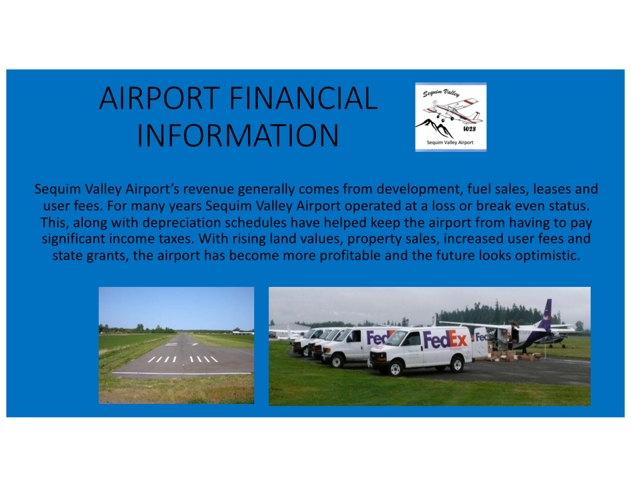# AIRPORT FINANCIAL INFORMATION



Sequim Valley Airport's revenue generally comes from development, fuel sales, leases and user fees. For many years Sequim Valley Airport operated at a loss or break even status. This, along with depreciation schedules have helped keep the airport from having to pay significant income taxes. With rising land values, property sales, increased user fees and state grants, the airport has become more profitable and the future looks optimistic.

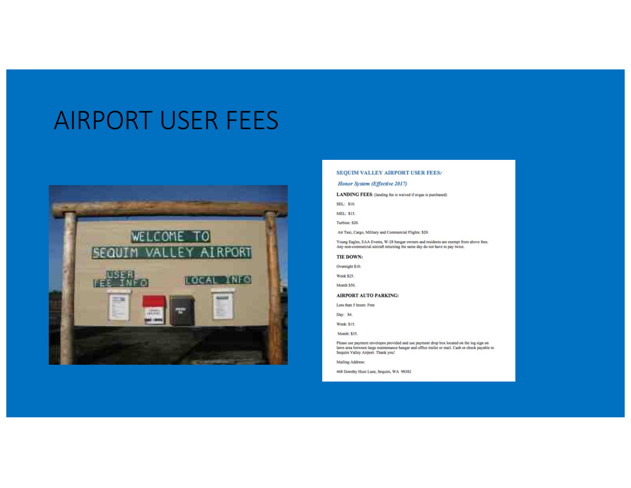## AIRPORT USER FEES



#### SEQUIM VALLEY AIRPORT USER FEES:

#### Honor System (Effective 2017)

#### LANDING FEES: (landing fee is waived if avgas is purchased)

SEL: \$10.

MEL: \$15.

Turbine: \$20.

Air Taxi, Cargo, Military and Commercial Flights: \$20.

Young Eagles, EAA Events, W-28 hangar owners and residents are exempt from above fees.<br>Any non-commercial aircraft returning the same day do not have to pay twice.

#### TIE DOWN:

Overnight \$10.

Week \$25.

Month \$50.

#### **AIRPORT AUTO PARKING:**

Less than 5 hours: Free

Day: \$4.

Week: \$15.

Month: \$35.

Please use payment envelopes provided and use payment drop box located on the log sign on lawn area between large maintenance hangar and office trailer or mail. Cash or check payable to Sequim Valley Airport. Thank you!

Mailing Address:

468 Dorothy Hunt Lane, Sequim, WA 98382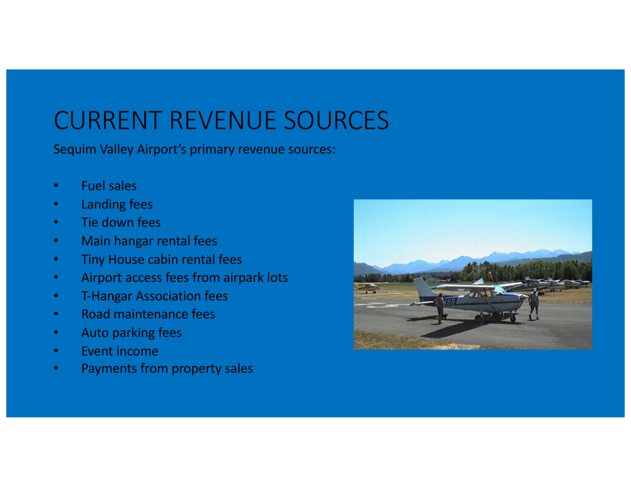# CURRENT REVENUE SOURCES

Sequim Valley Airport's primary revenue sources:

- Fuel sales
- Landing fees
- Tie down fees
- Main hangar rental fees
- Tiny House cabin rental fees
- Airport access fees from airpark lots
- T-Hangar Association fees
- Road maintenance fees
- Auto parking fees
- **Event income**
- Payments from property sales

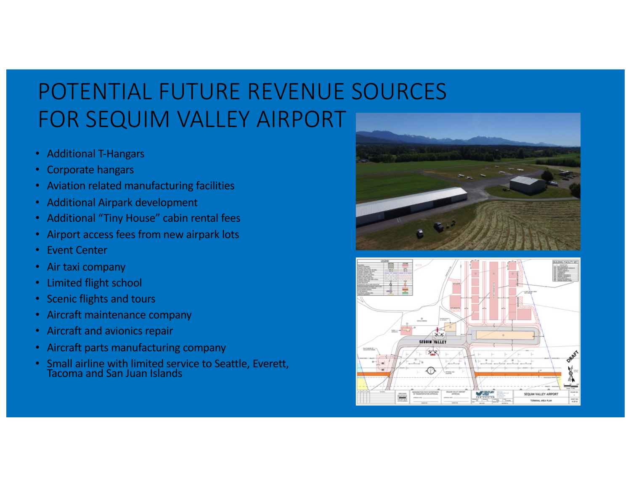## POTENTIAL FUTURE REVENUE SOURCES FOR SEQUIM VALLEY AIRPORT

- Additional T-Hangars
- Corporate hangars
- Aviation related manufacturing facilities
- Additional Airpark development
- Additional "Tiny House" cabin rental fees
- Airport access fees from new airpark lots
- Event Center
- Air taxi company
- Limited flight school
- Scenic flights and tours
- Aircraft maintenance company
- Aircraft and avionics repair
- Aircraft parts manufacturing company
- Small airline with limited service to Seattle, Everett, Tacoma and San Juan Islands



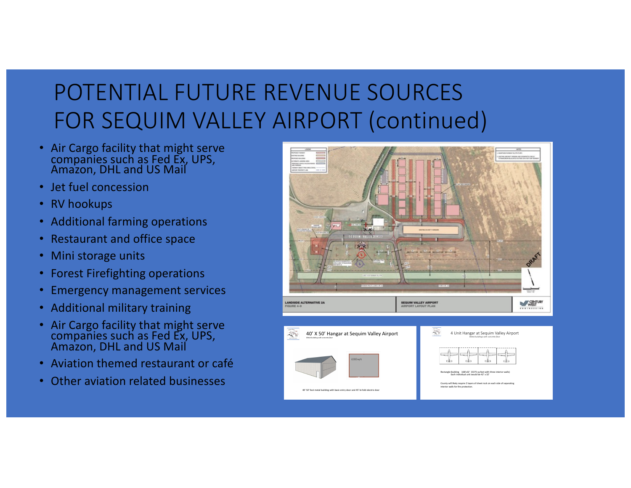# POTENTIAL FUTURE REVENUE SOURCES FOR SEQUIM VALLEY AIRPORT (continued)

- Air Cargo facility that might serve companies such as Fed Ex, UPS, Amazon, DHL and US Mail
- Jet fuel concession
- RV hookups
- Additional farming operations
- Restaurant and office space
- Mini storage units
- Forest Firefighting operations
- Emergency management services
- Additional military training
- Air Cargo facility that might serve companies such as Fed Ex, UPS, Amazon, DHL and US Mail
- Aviation themed restaurant or café
- Other aviation related businesses

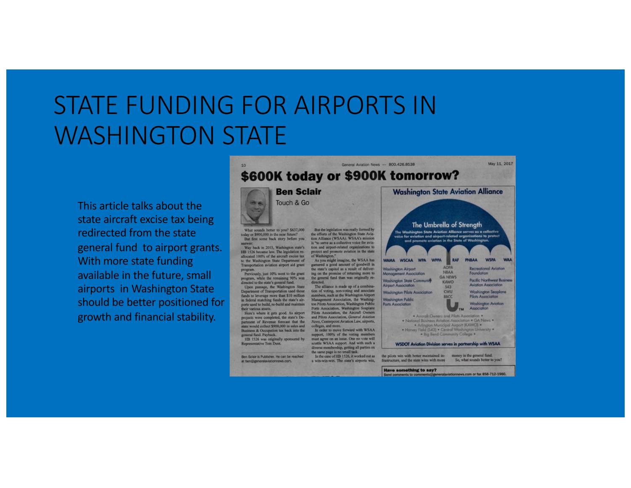# STATE FUNDING FOR AIRPORTS IN WASHINGTON STATE

This article talks about the state aircraft excise tax being redirected from the state general fund to airport grants. With more state funding available in the future, small airports in Washington State should be better positioned for growth and financial stability.



**Have something to say?** nd comments to comments@generalaviationnews.com or fax 858-712-1950.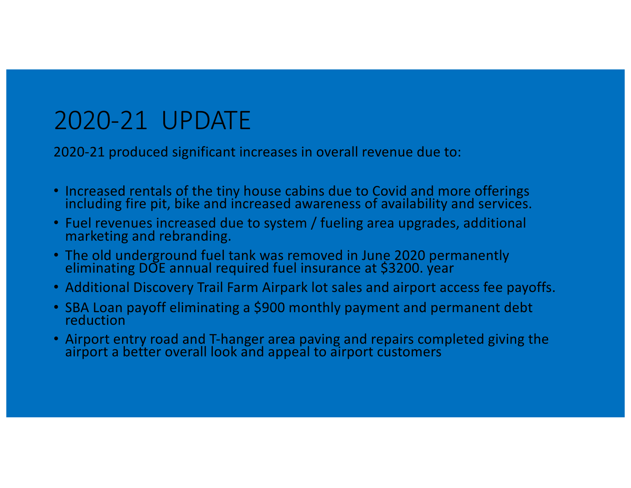### 2020-21 UPDATE

2020-21 produced significant increases in overall revenue due to:

- Increased rentals of the tiny house cabins due to Covid and more offerings including fire pit, bike and increased awareness of availability and services.
- Fuel revenues increased due to system / fueling area upgrades, additional marketing and rebranding.
- The old underground fuel tank was removed in June 2020 permanently eliminating DOE annual required fuel insurance at \$3200. year
- Additional Discovery Trail Farm Airpark lot sales and airport access fee payoffs.
- SBA Loan payoff eliminating a \$900 monthly payment and permanent debt reduction
- Airport entry road and T-hanger area paving and repairs completed giving the airport a better overall look and appeal to airport customers